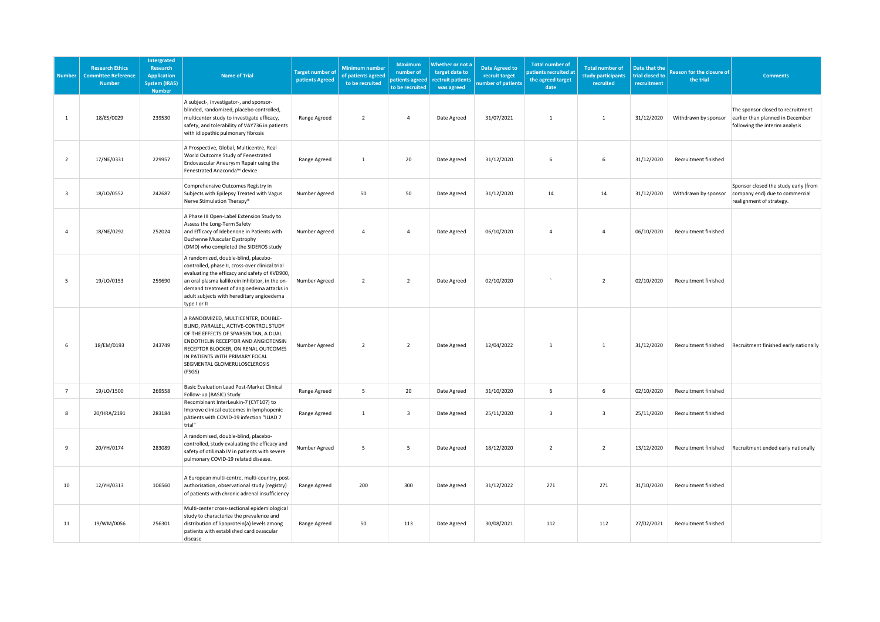| <b>Number</b>  | <b>Research Ethics</b><br><b>Committee Reference</b><br><b>Number</b> | <b>Intergrated</b><br>Research<br><b>Application</b><br><b>System (IRAS)</b><br><b>Number</b> | <b>Name of Trial</b>                                                                                                                                                                                                                                                                                  | Target number of<br>patients Agreed | <b>Minimum number</b><br>of patients agreed<br>to be recruited | Maximum<br>number of<br>patients agreed<br>to be recruited | Whether or not a<br>target date to<br>rectruit patients<br>was agreed | <b>Date Agreed to</b><br>recruit target<br>umber of patients | <b>Total number of</b><br>atients recruited at<br>the agreed target<br>date | <b>Total number of</b><br>study participants<br>recruited | Date that the<br>trial closed to<br>recruitment | <b>Reason for the closure of</b><br>the trial | <b>Comments</b>                                                                                         |
|----------------|-----------------------------------------------------------------------|-----------------------------------------------------------------------------------------------|-------------------------------------------------------------------------------------------------------------------------------------------------------------------------------------------------------------------------------------------------------------------------------------------------------|-------------------------------------|----------------------------------------------------------------|------------------------------------------------------------|-----------------------------------------------------------------------|--------------------------------------------------------------|-----------------------------------------------------------------------------|-----------------------------------------------------------|-------------------------------------------------|-----------------------------------------------|---------------------------------------------------------------------------------------------------------|
| $\mathbf{1}$   | 18/ES/0029                                                            | 239530                                                                                        | A subject-, investigator-, and sponsor-<br>blinded, randomized, placebo-controlled,<br>multicenter study to investigate efficacy,<br>safety, and tolerability of VAY736 in patients<br>with idiopathic pulmonary fibrosis                                                                             | Range Agreed                        | $\overline{2}$                                                 | $\overline{4}$                                             | Date Agreed                                                           | 31/07/2021                                                   | $\mathbf{1}$                                                                | $\overline{1}$                                            | 31/12/2020                                      | Withdrawn by sponsor                          | The sponsor closed to recruitment<br>earlier than planned in December<br>following the interim analysis |
| $\overline{2}$ | 17/NE/0331                                                            | 229957                                                                                        | A Prospective, Global, Multicentre, Real<br>World Outcome Study of Fenestrated<br>Endovascular Aneurysm Repair using the<br>Fenestrated Anaconda™ device                                                                                                                                              | Range Agreed                        | $\mathbf{1}$                                                   | 20                                                         | Date Agreed                                                           | 31/12/2020                                                   | 6                                                                           | 6                                                         | 31/12/2020                                      | Recruitment finished                          |                                                                                                         |
| 3              | 18/LO/0552                                                            | 242687                                                                                        | Comprehensive Outcomes Registry in<br>Subjects with Epilepsy Treated with Vagus<br>Nerve Stimulation Therapy®                                                                                                                                                                                         | Number Agreed                       | 50                                                             | 50                                                         | Date Agreed                                                           | 31/12/2020                                                   | 14                                                                          | 14                                                        | 31/12/2020                                      | Withdrawn by sponsor                          | Sponsor closed the study early (from<br>company end) due to commercial<br>realignment of strategy.      |
| $\overline{4}$ | 18/NE/0292                                                            | 252024                                                                                        | A Phase III Open-Label Extension Study to<br>Assess the Long-Term Safety<br>and Efficacy of Idebenone in Patients with<br>Duchenne Muscular Dystrophy<br>(DMD) who completed the SIDEROS study                                                                                                        | Number Agreed                       | $\overline{4}$                                                 | $\overline{4}$                                             | Date Agreed                                                           | 06/10/2020                                                   | $\overline{4}$                                                              | $\overline{4}$                                            | 06/10/2020                                      | Recruitment finished                          |                                                                                                         |
| 5              | 19/LO/0153                                                            | 259690                                                                                        | A randomized, double-blind, placebo-<br>controlled, phase II, cross-over clinical trial<br>evaluating the efficacy and safety of KVD900,<br>an oral plasma kallikrein inhibitor, in the on-<br>demand treatment of angioedema attacks in<br>adult subjects with hereditary angioedema<br>type I or II | Number Agreed                       | $\overline{2}$                                                 | $\overline{2}$                                             | Date Agreed                                                           | 02/10/2020                                                   |                                                                             | $\overline{2}$                                            | 02/10/2020                                      | Recruitment finished                          |                                                                                                         |
| $\,$ 6         | 18/EM/0193                                                            | 243749                                                                                        | A RANDOMIZED, MULTICENTER, DOUBLE-<br>BLIND, PARALLEL, ACTIVE-CONTROL STUDY<br>OF THE EFFECTS OF SPARSENTAN, A DUAL<br>ENDOTHELIN RECEPTOR AND ANGIOTENSIN<br>RECEPTOR BLOCKER, ON RENAL OUTCOMES<br>IN PATIENTS WITH PRIMARY FOCAL<br>SEGMENTAL GLOMERULOSCLEROSIS<br>(FSGS)                         | Number Agreed                       | $\overline{2}$                                                 | $\overline{2}$                                             | Date Agreed                                                           | 12/04/2022                                                   | $\mathbf{1}$                                                                | 1                                                         | 31/12/2020                                      |                                               | Recruitment finished Recruitment finished early nationally                                              |
| $\overline{7}$ | 19/LO/1500                                                            | 269558                                                                                        | Basic Evaluation Lead Post-Market Clinical<br>Follow-up (BASIC) Study                                                                                                                                                                                                                                 | Range Agreed                        | 5                                                              | 20                                                         | Date Agreed                                                           | 31/10/2020                                                   | 6                                                                           | 6                                                         | 02/10/2020                                      | Recruitment finished                          |                                                                                                         |
| 8              | 20/HRA/2191                                                           | 283184                                                                                        | Recombinant InterLeukin-7 (CYT107) to<br>Improve clinical outcomes in lymphopenic<br>pAtients with COVID-19 infection "ILIAD 7<br>trial"                                                                                                                                                              | Range Agreed                        | $\mathbf{1}$                                                   | $\mathbf{3}$                                               | Date Agreed                                                           | 25/11/2020                                                   | $\overline{\mathbf{3}}$                                                     | $\overline{3}$                                            | 25/11/2020                                      | Recruitment finished                          |                                                                                                         |
| 9              | 20/YH/0174                                                            | 283089                                                                                        | A randomised, double-blind, placebo-<br>controlled, study evaluating the efficacy and<br>safety of otilimab IV in patients with severe<br>pulmonary COVID-19 related disease.                                                                                                                         | Number Agreed                       | 5                                                              | 5                                                          | Date Agreed                                                           | 18/12/2020                                                   | $\overline{2}$                                                              | $\overline{2}$                                            | 13/12/2020                                      | Recruitment finished                          | Recruitment ended early nationally                                                                      |
| 10             | 12/YH/0313                                                            | 106560                                                                                        | A European multi-centre, multi-country, post-<br>authorisation, observational study (registry)<br>of patients with chronic adrenal insufficiency                                                                                                                                                      | Range Agreed                        | 200                                                            | 300                                                        | Date Agreed                                                           | 31/12/2022                                                   | 271                                                                         | 271                                                       | 31/10/2020                                      | Recruitment finished                          |                                                                                                         |
| 11             | 19/WM/0056                                                            | 256301                                                                                        | Multi-center cross-sectional epidemiological<br>study to characterize the prevalence and<br>distribution of lipoprotein(a) levels among<br>patients with established cardiovascular<br>disease                                                                                                        | Range Agreed                        | 50                                                             | 113                                                        | Date Agreed                                                           | 30/08/2021                                                   | 112                                                                         | 112                                                       | 27/02/2021                                      | Recruitment finished                          |                                                                                                         |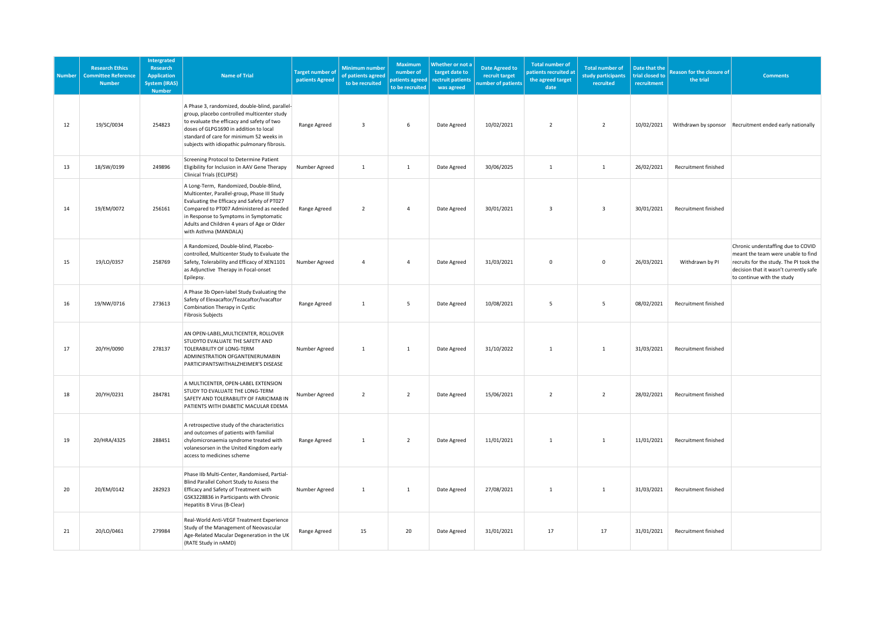| <b>Number</b> | <b>Research Ethics</b><br><b>Committee Reference</b><br><b>Number</b> | <b>Intergrated</b><br>Research<br><b>Application</b><br><b>System (IRAS)</b><br><b>Number</b> | <b>Name of Trial</b>                                                                                                                                                                                                                                                                                | Target number o<br>patients Agreed | Minimum number<br>of patients agreed<br>to be recruited | <b>Maximum</b><br>number of<br>patients agreed<br>to be recruited | Whether or not a<br>target date to<br>rectruit patients<br>was agreed | <b>Date Agreed to</b><br>recruit target<br>umber of patients | <b>Total number of</b><br>patients recruited at<br>the agreed target<br>date | <b>Total number of</b><br>study participants<br>recruited | Date that the<br>trial closed to<br>recruitment | <b>Reason for the closure of</b><br>the trial | <b>Comments</b>                                                                                                                                                                             |
|---------------|-----------------------------------------------------------------------|-----------------------------------------------------------------------------------------------|-----------------------------------------------------------------------------------------------------------------------------------------------------------------------------------------------------------------------------------------------------------------------------------------------------|------------------------------------|---------------------------------------------------------|-------------------------------------------------------------------|-----------------------------------------------------------------------|--------------------------------------------------------------|------------------------------------------------------------------------------|-----------------------------------------------------------|-------------------------------------------------|-----------------------------------------------|---------------------------------------------------------------------------------------------------------------------------------------------------------------------------------------------|
| 12            | 19/SC/0034                                                            | 254823                                                                                        | A Phase 3, randomized, double-blind, parallel-<br>group, placebo controlled multicenter study<br>to evaluate the efficacy and safety of two<br>doses of GLPG1690 in addition to local<br>standard of care for minimum 52 weeks in<br>subjects with idiopathic pulmonary fibrosis.                   | Range Agreed                       | $\overline{\mathbf{3}}$                                 | 6                                                                 | Date Agreed                                                           | 10/02/2021                                                   | $\overline{2}$                                                               | $\overline{2}$                                            | 10/02/2021                                      |                                               | Withdrawn by sponsor Recruitment ended early nationally                                                                                                                                     |
| 13            | 18/SW/0199                                                            | 249896                                                                                        | Screening Protocol to Determine Patient<br>Eligibility for Inclusion in AAV Gene Therapy<br>Clinical Trials (ECLIPSE)                                                                                                                                                                               | Number Agreed                      | $\overline{1}$                                          | $\mathbf{1}$                                                      | Date Agreed                                                           | 30/06/2025                                                   | $\mathbf{1}$                                                                 | $\,$ 1 $\,$                                               | 26/02/2021                                      | Recruitment finished                          |                                                                                                                                                                                             |
| 14            | 19/EM/0072                                                            | 256161                                                                                        | A Long-Term, Randomized, Double-Blind,<br>Multicenter, Parallel-group, Phase III Study<br>Evaluating the Efficacy and Safety of PT027<br>Compared to PT007 Administered as needed<br>in Response to Symptoms in Symptomatic<br>Adults and Children 4 years of Age or Older<br>with Asthma (MANDALA) | Range Agreed                       | $\overline{z}$                                          | $\overline{4}$                                                    | Date Agreed                                                           | 30/01/2021                                                   | $\overline{\mathbf{3}}$                                                      | $\overline{\mathbf{3}}$                                   | 30/01/2021                                      | Recruitment finished                          |                                                                                                                                                                                             |
| 15            | 19/LO/0357                                                            | 258769                                                                                        | A Randomized, Double-blind, Placebo-<br>controlled, Multicenter Study to Evaluate the<br>Safety, Tolerability and Efficacy of XEN1101<br>as Adjunctive Therapy in Focal-onset<br>Epilepsy.                                                                                                          | Number Agreed                      | $\overline{4}$                                          | $\overline{4}$                                                    | Date Agreed                                                           | 31/03/2021                                                   | $\mathbf 0$                                                                  | $\mathsf 0$                                               | 26/03/2021                                      | Withdrawn by PI                               | Chronic understaffing due to COVID<br>meant the team were unable to find<br>recruits for the study. The PI took the<br>decision that it wasn't currently safe<br>to continue with the study |
| 16            | 19/NW/0716                                                            | 273613                                                                                        | A Phase 3b Open-label Study Evaluating the<br>Safety of Elexacaftor/Tezacaftor/Ivacaftor<br>Combination Therapy in Cystic<br><b>Fibrosis Subjects</b>                                                                                                                                               | Range Agreed                       | $\mathbf{1}$                                            | 5                                                                 | Date Agreed                                                           | 10/08/2021                                                   | 5                                                                            | 5                                                         | 08/02/2021                                      | Recruitment finished                          |                                                                                                                                                                                             |
| 17            | 20/YH/0090                                                            | 278137                                                                                        | AN OPEN-LABEL, MULTICENTER, ROLLOVER<br>STUDYTO EVALUATE THE SAFETY AND<br>TOLERABILITY OF LONG-TERM<br>ADMINISTRATION OFGANTENERUMABIN<br>PARTICIPANTSWITHALZHEIMER'S DISEASE                                                                                                                      | Number Agreed                      | 1                                                       | 1                                                                 | Date Agreed                                                           | 31/10/2022                                                   | 1                                                                            | $\mathbf{1}$                                              | 31/03/2021                                      | Recruitment finished                          |                                                                                                                                                                                             |
| 18            | 20/YH/0231                                                            | 284781                                                                                        | A MULTICENTER, OPEN-LABEL EXTENSION<br>STUDY TO EVALUATE THE LONG-TERM<br>SAFETY AND TOLERABILITY OF FARICIMAB IN<br>PATIENTS WITH DIABETIC MACULAR EDEMA                                                                                                                                           | Number Agreed                      | $\overline{2}$                                          | $\overline{2}$                                                    | Date Agreed                                                           | 15/06/2021                                                   | $\overline{2}$                                                               | $\overline{2}$                                            | 28/02/2021                                      | Recruitment finished                          |                                                                                                                                                                                             |
| 19            | 20/HRA/4325                                                           | 288451                                                                                        | A retrospective study of the characteristics<br>and outcomes of patients with familial<br>chylomicronaemia syndrome treated with<br>volanesorsen in the United Kingdom early<br>access to medicines scheme                                                                                          | Range Agreed                       | $\mathbf{1}$                                            | $\overline{2}$                                                    | Date Agreed                                                           | 11/01/2021                                                   | 1                                                                            | $1\,$                                                     | 11/01/2021                                      | Recruitment finished                          |                                                                                                                                                                                             |
| 20            | 20/EM/0142                                                            | 282923                                                                                        | Phase IIb Multi-Center, Randomised, Partial-<br>Blind Parallel Cohort Study to Assess the<br>Efficacy and Safety of Treatment with<br>GSK3228836 in Participants with Chronic<br>Hepatitis B Virus (B-Clear)                                                                                        | Number Agreed                      | 1                                                       | 1                                                                 | Date Agreed                                                           | 27/08/2021                                                   | 1                                                                            | $\mathbf{1}$                                              | 31/03/2021                                      | Recruitment finished                          |                                                                                                                                                                                             |
| 21            | 20/LO/0461                                                            | 279984                                                                                        | Real-World Anti-VEGF Treatment Experience<br>Study of the Management of Neovascular<br>Age-Related Macular Degeneration in the UK<br>(RATE Study in nAMD)                                                                                                                                           | Range Agreed                       | 15                                                      | 20                                                                | Date Agreed                                                           | 31/01/2021                                                   | 17                                                                           | 17                                                        | 31/01/2021                                      | Recruitment finished                          |                                                                                                                                                                                             |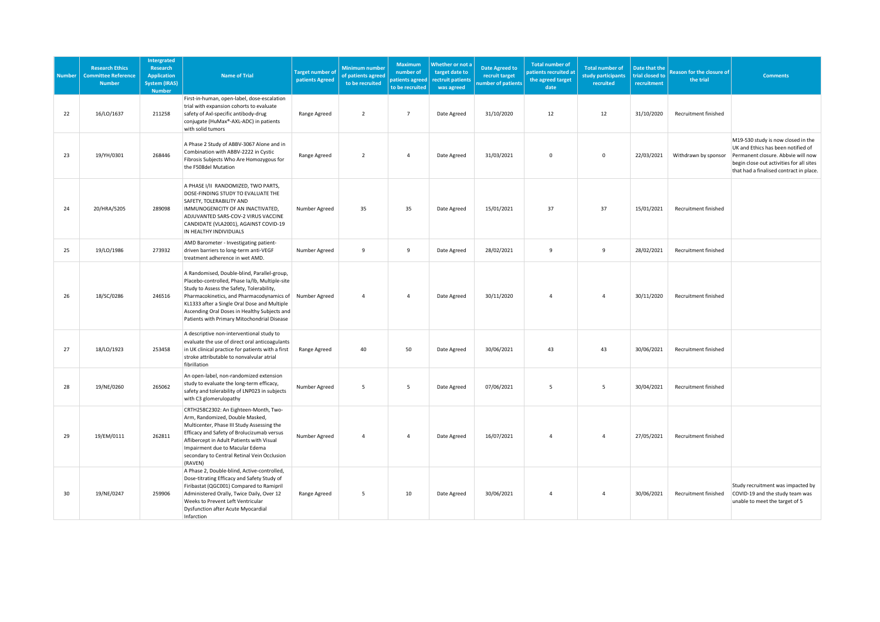| <b>Number</b> | <b>Research Ethics</b><br><b>Committee Reference</b><br><b>Number</b> | <b>Intergrated</b><br>Research<br><b>Application</b><br><b>System (IRAS)</b><br><b>Number</b> | <b>Name of Trial</b>                                                                                                                                                                                                                                                                                                                   | <b>Target number of</b><br>patients Agreed | <b>Minimum number</b><br>of patients agreed<br>to be recruited | <b>Maximum</b><br>number of<br>patients agreed<br>to be recruited | Whether or not a<br>target date to<br>rectruit patients<br>was agreed | <b>Date Agreed to</b><br>recruit target<br>umber of patients | <b>Total number of</b><br>patients recruited at<br>the agreed target<br>date | <b>Total number of</b><br>study participants<br>recruited | Date that the<br>trial closed to<br>recruitment | Reason for the closure of<br>the trial | <b>Comments</b>                                                                                                                                                                                       |
|---------------|-----------------------------------------------------------------------|-----------------------------------------------------------------------------------------------|----------------------------------------------------------------------------------------------------------------------------------------------------------------------------------------------------------------------------------------------------------------------------------------------------------------------------------------|--------------------------------------------|----------------------------------------------------------------|-------------------------------------------------------------------|-----------------------------------------------------------------------|--------------------------------------------------------------|------------------------------------------------------------------------------|-----------------------------------------------------------|-------------------------------------------------|----------------------------------------|-------------------------------------------------------------------------------------------------------------------------------------------------------------------------------------------------------|
| 22            | 16/LO/1637                                                            | 211258                                                                                        | First-in-human, open-label, dose-escalation<br>trial with expansion cohorts to evaluate<br>safety of Axl-specific antibody-drug<br>conjugate (HuMax®-AXL-ADC) in patients<br>with solid tumors                                                                                                                                         | Range Agreed                               | $\overline{2}$                                                 | $\overline{7}$                                                    | Date Agreed                                                           | 31/10/2020                                                   | 12                                                                           | 12                                                        | 31/10/2020                                      | Recruitment finished                   |                                                                                                                                                                                                       |
| 23            | 19/YH/0301                                                            | 268446                                                                                        | A Phase 2 Study of ABBV-3067 Alone and in<br>Combination with ABBV-2222 in Cystic<br>Fibrosis Subjects Who Are Homozygous for<br>the F508del Mutation                                                                                                                                                                                  | Range Agreed                               | $\overline{2}$                                                 | $\overline{4}$                                                    | Date Agreed                                                           | 31/03/2021                                                   | 0                                                                            | $\mathbf{0}$                                              | 22/03/2021                                      | Withdrawn by sponsor                   | M19-530 study is now closed in the<br>UK and Ethics has been notified of<br>Permanent closure. Abbvie will now<br>begin close out activities for all sites<br>that had a finalised contract in place. |
| 24            | 20/HRA/5205                                                           | 289098                                                                                        | A PHASE I/II RANDOMIZED, TWO PARTS,<br>DOSE-FINDING STUDY TO EVALUATE THE<br>SAFETY, TOLERABILITY AND<br>IMMUNOGENICITY OF AN INACTIVATED,<br>ADJUVANTED SARS-COV-2 VIRUS VACCINE<br>CANDIDATE (VLA2001), AGAINST COVID-19<br>IN HEALTHY INDIVIDUALS                                                                                   | Number Agreed                              | 35                                                             | 35                                                                | Date Agreed                                                           | 15/01/2021                                                   | 37                                                                           | 37                                                        | 15/01/2021                                      | Recruitment finished                   |                                                                                                                                                                                                       |
| 25            | 19/LO/1986                                                            | 273932                                                                                        | AMD Barometer - Investigating patient-<br>driven barriers to long-term anti-VEGF<br>treatment adherence in wet AMD.                                                                                                                                                                                                                    | Number Agreed                              | $\mathbf{q}$                                                   | $\overline{9}$                                                    | Date Agreed                                                           | 28/02/2021                                                   | 9                                                                            | $\mathbf{q}$                                              | 28/02/2021                                      | Recruitment finished                   |                                                                                                                                                                                                       |
| 26            | 18/SC/0286                                                            | 246516                                                                                        | A Randomised, Double-blind, Parallel-group,<br>Placebo-controlled, Phase Ia/Ib, Multiple-site<br>Study to Assess the Safety, Tolerability,<br>Pharmacokinetics, and Pharmacodynamics of<br>KL1333 after a Single Oral Dose and Multiple<br>Ascending Oral Doses in Healthy Subjects and<br>Patients with Primary Mitochondrial Disease | Number Agreed                              | $\overline{4}$                                                 | $\overline{4}$                                                    | Date Agreed                                                           | 30/11/2020                                                   | 4                                                                            | $\overline{4}$                                            | 30/11/2020                                      | Recruitment finished                   |                                                                                                                                                                                                       |
| 27            | 18/LO/1923                                                            | 253458                                                                                        | A descriptive non-interventional study to<br>evaluate the use of direct oral anticoagulants<br>in UK clinical practice for patients with a first<br>stroke attributable to nonvalvular atrial<br>fibrillation                                                                                                                          | Range Agreed                               | 40                                                             | 50                                                                | Date Agreed                                                           | 30/06/2021                                                   | 43                                                                           | 43                                                        | 30/06/2021                                      | Recruitment finished                   |                                                                                                                                                                                                       |
| 28            | 19/NE/0260                                                            | 265062                                                                                        | An open-label, non-randomized extension<br>study to evaluate the long-term efficacy,<br>safety and tolerability of LNP023 in subjects<br>with C3 glomerulopathy                                                                                                                                                                        | Number Agreed                              | 5                                                              | 5                                                                 | Date Agreed                                                           | 07/06/2021                                                   | 5                                                                            | 5                                                         | 30/04/2021                                      | Recruitment finished                   |                                                                                                                                                                                                       |
| 29            | 19/EM/0111                                                            | 262811                                                                                        | CRTH258C2302: An Eighteen-Month, Two-<br>Arm, Randomized, Double Masked,<br>Multicenter, Phase III Study Assessing the<br>Efficacy and Safety of Brolucizumab versus<br>Aflibercept in Adult Patients with Visual<br>Impairment due to Macular Edema<br>secondary to Central Retinal Vein Occlusion<br>(RAVEN)                         | Number Agreed                              | $\overline{4}$                                                 | $\overline{4}$                                                    | Date Agreed                                                           | 16/07/2021                                                   | $\overline{4}$                                                               | $\overline{4}$                                            | 27/05/2021                                      | Recruitment finished                   |                                                                                                                                                                                                       |
| 30            | 19/NE/0247                                                            | 259906                                                                                        | A Phase 2, Double-blind, Active-controlled,<br>Dose-titrating Efficacy and Safety Study of<br>Firibastat (QGC001) Compared to Ramipril<br>Administered Orally, Twice Daily, Over 12<br>Weeks to Prevent Left Ventricular<br>Dysfunction after Acute Myocardial<br>Infarction                                                           | Range Agreed                               | 5                                                              | 10                                                                | Date Agreed                                                           | 30/06/2021                                                   | 4                                                                            | $\overline{4}$                                            | 30/06/2021                                      | Recruitment finished                   | Study recruitment was impacted by<br>COVID-19 and the study team was<br>unable to meet the target of 5                                                                                                |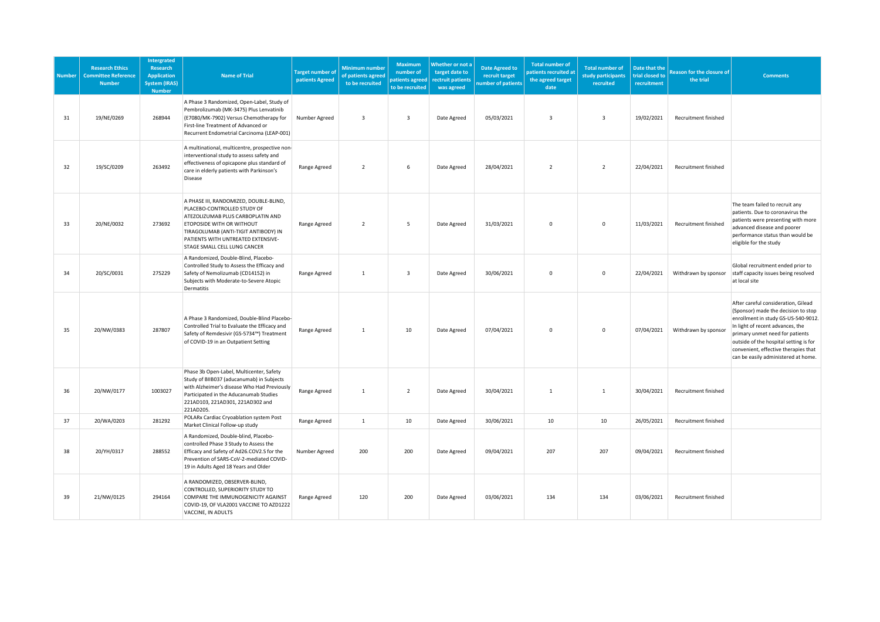| <b>Number</b> | <b>Research Ethics</b><br><b>Committee Reference</b><br><b>Number</b> | <b>Intergrated</b><br>Research<br><b>Application</b><br>System (IRAS)<br><b>Number</b> | <b>Name of Trial</b>                                                                                                                                                                                                                                         | <b>Target number of</b><br>patients Agreed | Minimum number<br>of patients agreed<br>to be recruited | Maximum<br>number of<br>patients agreed<br>to be recruited | Whether or not a<br>target date to<br>rectruit patients<br>was agreed | <b>Date Agreed to</b><br>recruit target<br>umber of patients | <b>Total number of</b><br>patients recruited at<br>the agreed target<br>date | <b>Total number of</b><br>study participants<br>recruited | Date that the<br>trial closed to<br>recruitment | leason for the closure of<br>the trial | <b>Comments</b>                                                                                                                                                                                                                                                                                                   |
|---------------|-----------------------------------------------------------------------|----------------------------------------------------------------------------------------|--------------------------------------------------------------------------------------------------------------------------------------------------------------------------------------------------------------------------------------------------------------|--------------------------------------------|---------------------------------------------------------|------------------------------------------------------------|-----------------------------------------------------------------------|--------------------------------------------------------------|------------------------------------------------------------------------------|-----------------------------------------------------------|-------------------------------------------------|----------------------------------------|-------------------------------------------------------------------------------------------------------------------------------------------------------------------------------------------------------------------------------------------------------------------------------------------------------------------|
| 31            | 19/NE/0269                                                            | 268944                                                                                 | A Phase 3 Randomized, Open-Label, Study of<br>Pembrolizumab (MK-3475) Plus Lenvatinib<br>(E7080/MK-7902) Versus Chemotherapy for<br>First-line Treatment of Advanced or<br>Recurrent Endometrial Carcinoma (LEAP-001)                                        | Number Agreed                              | $\overline{\mathbf{3}}$                                 | $\overline{\mathbf{3}}$                                    | Date Agreed                                                           | 05/03/2021                                                   | $\overline{3}$                                                               | $\overline{\mathbf{3}}$                                   | 19/02/2021                                      | Recruitment finished                   |                                                                                                                                                                                                                                                                                                                   |
| 32            | 19/SC/0209                                                            | 263492                                                                                 | A multinational, multicentre, prospective non-<br>interventional study to assess safety and<br>effectiveness of opicapone plus standard of<br>care in elderly patients with Parkinson's<br>Disease                                                           | Range Agreed                               | $\overline{2}$                                          | 6                                                          | Date Agreed                                                           | 28/04/2021                                                   | $\overline{2}$                                                               | $\overline{2}$                                            | 22/04/2021                                      | Recruitment finished                   |                                                                                                                                                                                                                                                                                                                   |
| 33            | 20/NE/0032                                                            | 273692                                                                                 | A PHASE III, RANDOMIZED, DOUBLE-BLIND,<br>PLACEBO-CONTROLLED STUDY OF<br>ATEZOLIZUMAB PLUS CARBOPLATIN AND<br><b>ETOPOSIDE WITH OR WITHOUT</b><br>TIRAGOLUMAB (ANTI-TIGIT ANTIBODY) IN<br>PATIENTS WITH UNTREATED EXTENSIVE-<br>STAGE SMALL CELL LUNG CANCER | Range Agreed                               | $\overline{2}$                                          | 5                                                          | Date Agreed                                                           | 31/03/2021                                                   | $\mathbf 0$                                                                  | $\mathsf 0$                                               | 11/03/2021                                      | Recruitment finished                   | The team failed to recruit any<br>patients. Due to coronavirus the<br>patients were presenting with more<br>advanced disease and poorer<br>performance status than would be<br>eligible for the study                                                                                                             |
| 34            | 20/SC/0031                                                            | 275229                                                                                 | A Randomized, Double-Blind, Placebo-<br>Controlled Study to Assess the Efficacy and<br>Safety of Nemolizumab (CD14152) in<br>Subjects with Moderate-to-Severe Atopic<br>Dermatitis                                                                           | Range Agreed                               | $\mathbf{1}$                                            | $\overline{\mathbf{3}}$                                    | Date Agreed                                                           | 30/06/2021                                                   | $\mathbf 0$                                                                  | $\mathbf{0}$                                              | 22/04/2021                                      | Withdrawn by sponsor                   | Global recruitment ended prior to<br>staff capacity issues being resolved<br>at local site                                                                                                                                                                                                                        |
| 35            | 20/NW/0383                                                            | 287807                                                                                 | A Phase 3 Randomized, Double-Blind Placebo-<br>Controlled Trial to Evaluate the Efficacy and<br>Safety of Remdesivir (GS-5734™) Treatment<br>of COVID-19 in an Outpatient Setting                                                                            | Range Agreed                               | $\overline{1}$                                          | 10                                                         | Date Agreed                                                           | 07/04/2021                                                   | $\mathbf 0$                                                                  | $\mathbf 0$                                               | 07/04/2021                                      | Withdrawn by sponsor                   | After careful consideration, Gilead<br>(Sponsor) made the decision to stop<br>enrollment in study GS-US-540-9012.<br>In light of recent advances, the<br>primary unmet need for patients<br>outside of the hospital setting is for<br>convenient, effective therapies that<br>can be easily administered at home. |
| 36            | 20/NW/0177                                                            | 1003027                                                                                | Phase 3b Open-Label, Multicenter, Safety<br>Study of BIIB037 (aducanumab) in Subjects<br>with Alzheimer's disease Who Had Previously<br>Participated in the Aducanumab Studies<br>221AD103, 221AD301, 221AD302 and<br>221AD205.                              | Range Agreed                               | $\overline{1}$                                          | $\overline{2}$                                             | Date Agreed                                                           | 30/04/2021                                                   | $\mathbf{1}$                                                                 | $\mathbf{1}$                                              | 30/04/2021                                      | Recruitment finished                   |                                                                                                                                                                                                                                                                                                                   |
| 37            | 20/WA/0203                                                            | 281292                                                                                 | POLARx Cardiac Cryoablation system Post<br>Market Clinical Follow-up study                                                                                                                                                                                   | Range Agreed                               | $\mathbf{1}$                                            | 10                                                         | Date Agreed                                                           | 30/06/2021                                                   | 10                                                                           | 10                                                        | 26/05/2021                                      | Recruitment finished                   |                                                                                                                                                                                                                                                                                                                   |
| 38            | 20/YH/0317                                                            | 288552                                                                                 | A Randomized, Double-blind, Placebo-<br>controlled Phase 3 Study to Assess the<br>Efficacy and Safety of Ad26.COV2.S for the<br>Prevention of SARS-CoV-2-mediated COVID-<br>19 in Adults Aged 18 Years and Older                                             | Number Agreed                              | 200                                                     | 200                                                        | Date Agreed                                                           | 09/04/2021                                                   | 207                                                                          | 207                                                       | 09/04/2021                                      | Recruitment finished                   |                                                                                                                                                                                                                                                                                                                   |
| 39            | 21/NW/0125                                                            | 294164                                                                                 | A RANDOMIZED, OBSERVER-BLIND,<br>CONTROLLED, SUPERIORITY STUDY TO<br>COMPARE THE IMMUNOGENICITY AGAINST<br>COVID-19, OF VLA2001 VACCINE TO AZD1222<br>VACCINE, IN ADULTS                                                                                     | Range Agreed                               | 120                                                     | 200                                                        | Date Agreed                                                           | 03/06/2021                                                   | 134                                                                          | 134                                                       | 03/06/2021                                      | Recruitment finished                   |                                                                                                                                                                                                                                                                                                                   |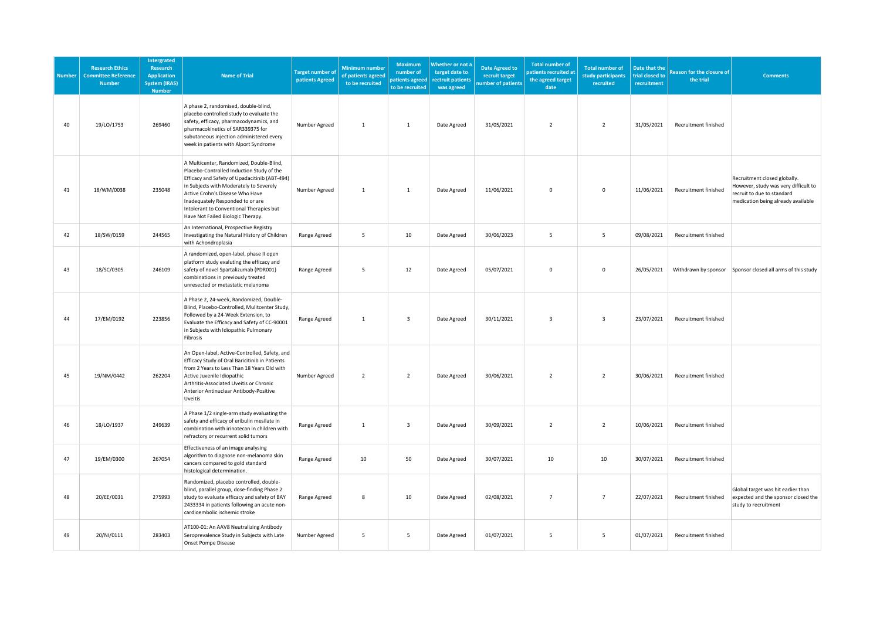| <b>Number</b> | <b>Research Ethics</b><br><b>Committee Reference</b><br><b>Number</b> | <b>Intergrated</b><br>Research<br><b>Application</b><br>System (IRAS)<br><b>Number</b> | <b>Name of Trial</b>                                                                                                                                                                                                                                                                                                                      | Target number of<br>patients Agreed | Minimum number<br>of patients agreed<br>to be recruited | Maximum<br>number of<br>patients agreed<br>to be recruited | Whether or not a<br>target date to<br>rectruit patients<br>was agreed | <b>Date Agreed to</b><br>recruit target<br>umber of patients | <b>Total number of</b><br>atients recruited at<br>the agreed target<br>date | <b>Total number of</b><br>study participants<br>recruited | Date that the<br>trial closed to<br>recruitment | <b>Reason for the closure of</b><br>the trial | <b>Comments</b>                                                                                                                          |
|---------------|-----------------------------------------------------------------------|----------------------------------------------------------------------------------------|-------------------------------------------------------------------------------------------------------------------------------------------------------------------------------------------------------------------------------------------------------------------------------------------------------------------------------------------|-------------------------------------|---------------------------------------------------------|------------------------------------------------------------|-----------------------------------------------------------------------|--------------------------------------------------------------|-----------------------------------------------------------------------------|-----------------------------------------------------------|-------------------------------------------------|-----------------------------------------------|------------------------------------------------------------------------------------------------------------------------------------------|
| 40            | 19/LO/1753                                                            | 269460                                                                                 | A phase 2, randomised, double-blind,<br>placebo controlled study to evaluate the<br>safety, efficacy, pharmacodynamics, and<br>pharmacokinetics of SAR339375 for<br>subutaneous injection administered every<br>week in patients with Alport Syndrome                                                                                     | Number Agreed                       | $\mathbf{1}$                                            | $\mathbf{1}$                                               | Date Agreed                                                           | 31/05/2021                                                   | $\overline{2}$                                                              | $\overline{2}$                                            | 31/05/2021                                      | Recruitment finished                          |                                                                                                                                          |
| 41            | 18/WM/0038                                                            | 235048                                                                                 | A Multicenter, Randomized, Double-Blind,<br>Placebo-Controlled Induction Study of the<br>Efficacy and Safety of Upadacitinib (ABT-494)<br>in Subjects with Moderately to Severely<br>Active Crohn's Disease Who Have<br>Inadequately Responded to or are<br>Intolerant to Conventional Therapies but<br>Have Not Failed Biologic Therapy. | Number Agreed                       | $\mathbf{1}$                                            | 1                                                          | Date Agreed                                                           | 11/06/2021                                                   | 0                                                                           | $\mathbf{0}$                                              | 11/06/2021                                      | Recruitment finished                          | Recruitment closed globally.<br>However, study was very difficult to<br>recruit to due to standard<br>medication being already available |
| 42            | 18/SW/0159                                                            | 244565                                                                                 | An International, Prospective Registry<br>Investigating the Natural History of Children<br>with Achondroplasia                                                                                                                                                                                                                            | Range Agreed                        | 5                                                       | 10 <sup>10</sup>                                           | Date Agreed                                                           | 30/06/2023                                                   | 5                                                                           | 5                                                         | 09/08/2021                                      | Recruitment finished                          |                                                                                                                                          |
| 43            | 18/SC/0305                                                            | 246109                                                                                 | A randomized, open-label, phase II open<br>platform study evaluting the efficacy and<br>safety of novel Spartalizumab (PDR001)<br>combinations in previously treated<br>unresected or metastatic melanoma                                                                                                                                 | Range Agreed                        | 5                                                       | 12                                                         | Date Agreed                                                           | 05/07/2021                                                   | 0                                                                           | $\mathbf 0$                                               | 26/05/2021                                      |                                               | Withdrawn by sponsor Sponsor closed all arms of this study                                                                               |
| 44            | 17/EM/0192                                                            | 223856                                                                                 | A Phase 2, 24-week, Randomized, Double-<br>Blind, Placebo-Controlled, Mulitcenter Study,<br>Followed by a 24-Week Extension, to<br>Evaluate the Efficacy and Safety of CC-90001<br>in Subjects with Idiopathic Pulmonary<br>Fibrosis                                                                                                      | Range Agreed                        | $\mathbf{1}$                                            | $\overline{3}$                                             | Date Agreed                                                           | 30/11/2021                                                   | 3                                                                           | $\overline{\mathbf{3}}$                                   | 23/07/2021                                      | Recruitment finished                          |                                                                                                                                          |
| 45            | 19/NM/0442                                                            | 262204                                                                                 | An Open-label, Active-Controlled, Safety, and<br>Efficacy Study of Oral Baricitinib in Patients<br>from 2 Years to Less Than 18 Years Old with<br>Active Juvenile Idiopathic<br>Arthritis-Associated Uveitis or Chronic<br>Anterior Antinuclear Antibody-Positive<br>Uveitis                                                              | Number Agreed                       | $\overline{2}$                                          | $\overline{2}$                                             | Date Agreed                                                           | 30/06/2021                                                   | $\overline{2}$                                                              | $\overline{2}$                                            | 30/06/2021                                      | Recruitment finished                          |                                                                                                                                          |
| 46            | 18/LO/1937                                                            | 249639                                                                                 | A Phase 1/2 single-arm study evaluating the<br>safety and efficacy of eribulin mesilate in<br>combination with irinotecan in children with<br>refractory or recurrent solid tumors                                                                                                                                                        | Range Agreed                        | $\mathbf{1}$                                            | $\mathbf{3}$                                               | Date Agreed                                                           | 30/09/2021                                                   | $\overline{2}$                                                              | $\overline{2}$                                            | 10/06/2021                                      | Recruitment finished                          |                                                                                                                                          |
| 47            | 19/EM/0300                                                            | 267054                                                                                 | Effectiveness of an image analysing<br>algorithm to diagnose non-melanoma skin<br>cancers compared to gold standard<br>histological determination.                                                                                                                                                                                        | Range Agreed                        | 10                                                      | 50                                                         | Date Agreed                                                           | 30/07/2021                                                   | 10                                                                          | 10                                                        | 30/07/2021                                      | Recruitment finished                          |                                                                                                                                          |
| 48            | 20/EE/0031                                                            | 275993                                                                                 | Randomized, placebo controlled, double-<br>blind, parallel group, dose-finding Phase 2<br>study to evaluate efficacy and safety of BAY<br>2433334 in patients following an acute non-<br>cardioembolic ischemic stroke                                                                                                                    | Range Agreed                        | 8                                                       | 10                                                         | Date Agreed                                                           | 02/08/2021                                                   | $\overline{7}$                                                              | $\overline{7}$                                            | 22/07/2021                                      | Recruitment finished                          | Global target was hit earlier than<br>expected and the sponsor closed the<br>study to recruitment                                        |
| 49            | 20/NI/0111                                                            | 283403                                                                                 | AT100-01: An AAV8 Neutralizing Antibody<br>Seroprevalence Study in Subjects with Late<br>Onset Pompe Disease                                                                                                                                                                                                                              | Number Agreed                       | 5                                                       | 5                                                          | Date Agreed                                                           | 01/07/2021                                                   | 5                                                                           | 5                                                         | 01/07/2021                                      | Recruitment finished                          |                                                                                                                                          |